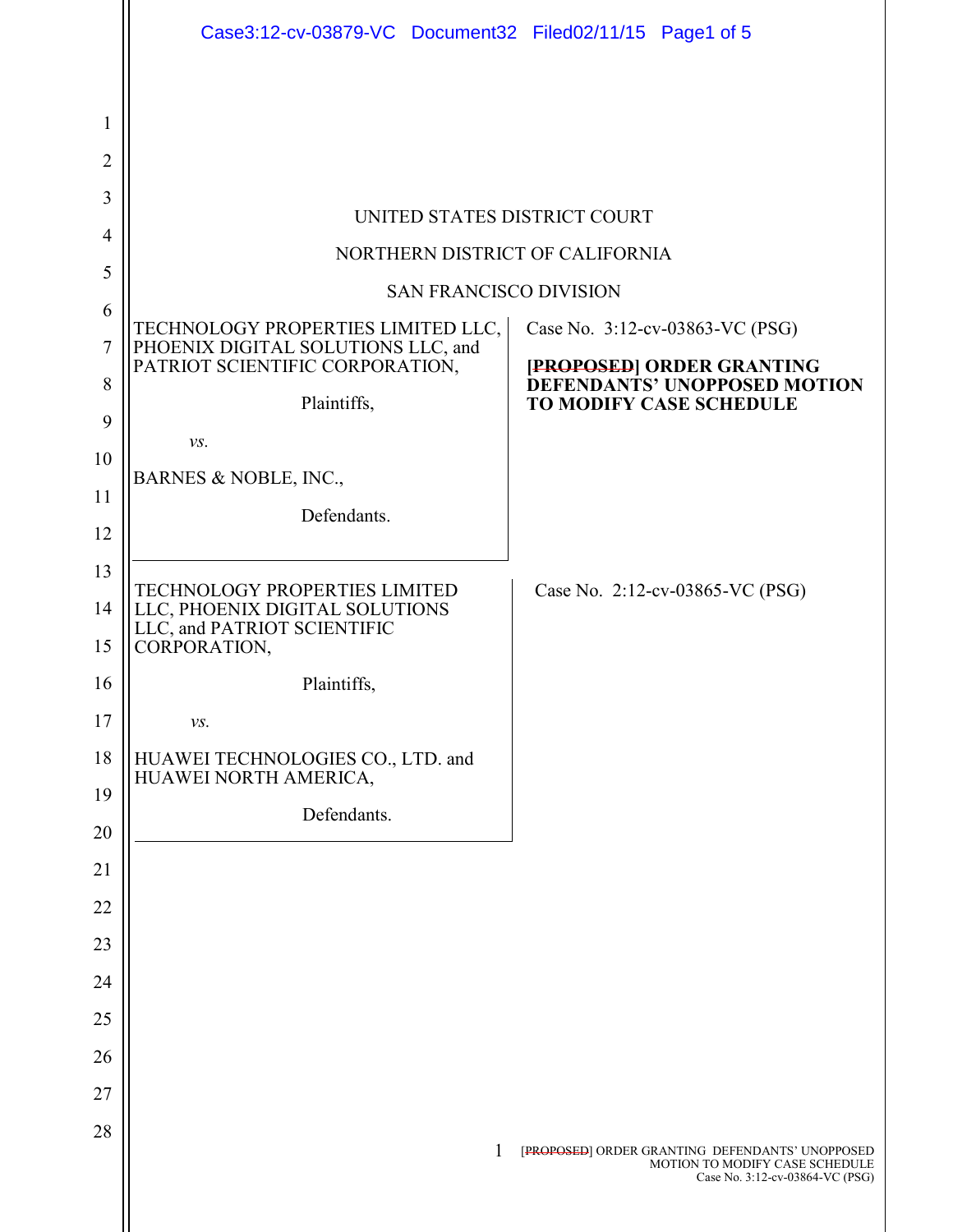|                     | Case3:12-cv-03879-VC Document32 Filed02/11/15 Page1 of 5                                              |                                                                                                                      |
|---------------------|-------------------------------------------------------------------------------------------------------|----------------------------------------------------------------------------------------------------------------------|
| 1<br>$\overline{2}$ |                                                                                                       |                                                                                                                      |
| 3                   |                                                                                                       |                                                                                                                      |
|                     | UNITED STATES DISTRICT COURT                                                                          |                                                                                                                      |
| 4<br>5              | NORTHERN DISTRICT OF CALIFORNIA                                                                       |                                                                                                                      |
|                     | <b>SAN FRANCISCO DIVISION</b>                                                                         |                                                                                                                      |
| 6                   |                                                                                                       | Case No. 3:12-cv-03863-VC (PSG)                                                                                      |
| 7                   | TECHNOLOGY PROPERTIES LIMITED LLC, PHOENIX DIGITAL SOLUTIONS LLC, and PATRIOT SCIENTIFIC CORPORATION, | [PROPOSED] ORDER GRANTING<br>DEFENDANTS' UNOPPOSED MOTION                                                            |
| 8                   | Plaintiffs,                                                                                           | <b>TO MODIFY CASE SCHEDULE</b>                                                                                       |
| 9                   | $\mathcal{V}\mathcal{S}.$                                                                             |                                                                                                                      |
| 10                  | BARNES & NOBLE, INC.,                                                                                 |                                                                                                                      |
| 11                  | Defendants.                                                                                           |                                                                                                                      |
| 12                  |                                                                                                       |                                                                                                                      |
| 13                  | <b>TECHNOLOGY PROPERTIES LIMITED</b>                                                                  | Case No. 2:12-cv-03865-VC (PSG)                                                                                      |
| 14                  | LLC, PHOENIX DIGITAL SOLUTIONS<br>LLC, and PATRIOT SCIENTIFIC                                         |                                                                                                                      |
| 15                  | CORPORATION,                                                                                          |                                                                                                                      |
| 16                  | Plaintiffs,                                                                                           |                                                                                                                      |
| 17                  | VS.                                                                                                   |                                                                                                                      |
| 18                  | HUAWEI TECHNOLOGIES CO., LTD. and<br>HUAWEI NORTH AMERICA,                                            |                                                                                                                      |
| 19                  | Defendants.                                                                                           |                                                                                                                      |
| 20                  |                                                                                                       |                                                                                                                      |
| 21                  |                                                                                                       |                                                                                                                      |
| 22                  |                                                                                                       |                                                                                                                      |
| 23                  |                                                                                                       |                                                                                                                      |
| 24                  |                                                                                                       |                                                                                                                      |
| 25                  |                                                                                                       |                                                                                                                      |
| 26                  |                                                                                                       |                                                                                                                      |
| 27                  |                                                                                                       |                                                                                                                      |
| 28                  | 1                                                                                                     | [PROPOSED] ORDER GRANTING DEFENDANTS' UNOPPOSED<br>MOTION TO MODIFY CASE SCHEDULE<br>Case No. 3:12-cv-03864-VC (PSG) |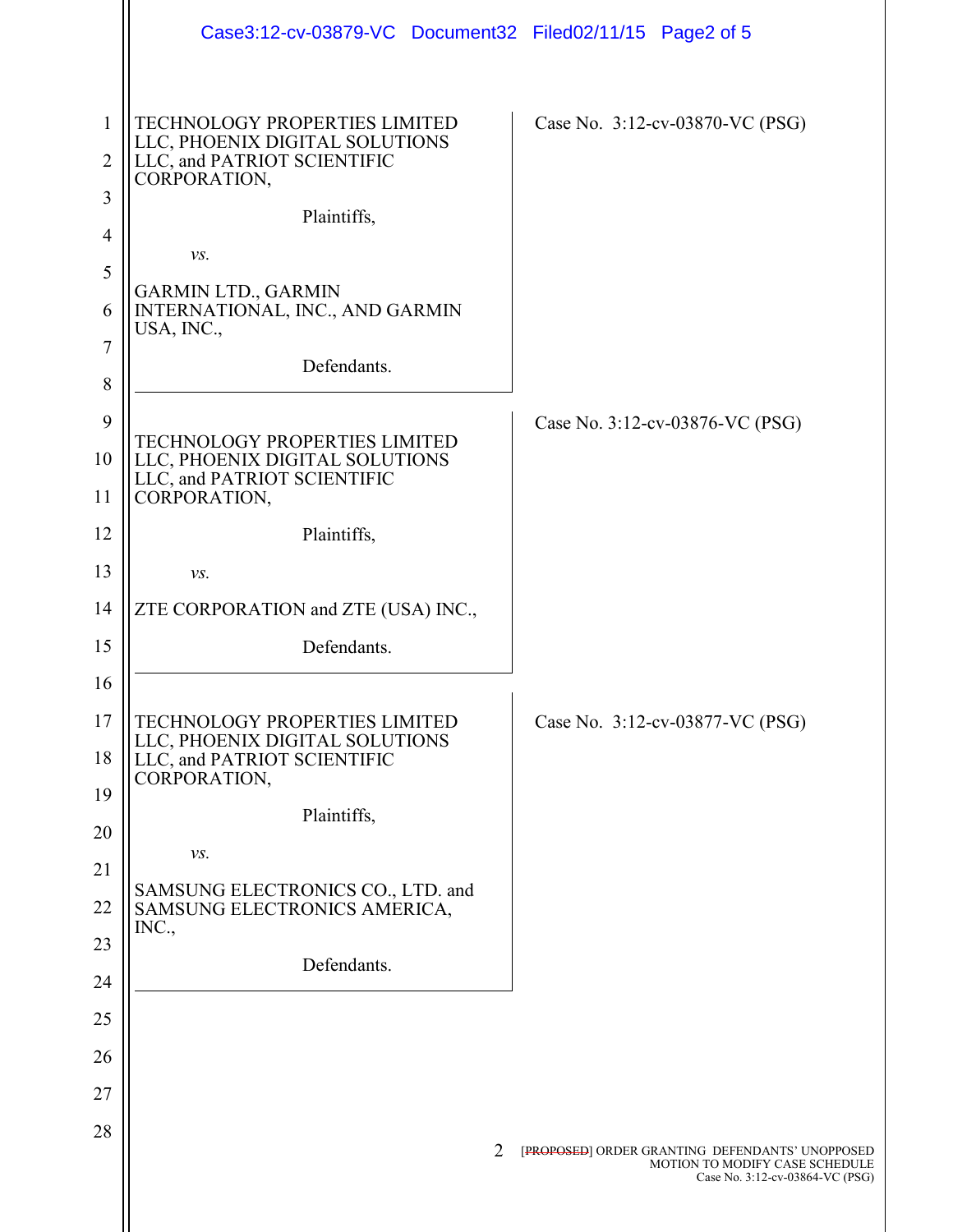|                               | Case3:12-cv-03879-VC Document32 Filed02/11/15 Page2 of 5                                                                      |                                                                                                                      |
|-------------------------------|-------------------------------------------------------------------------------------------------------------------------------|----------------------------------------------------------------------------------------------------------------------|
| 1<br>$\overline{2}$<br>3      | TECHNOLOGY PROPERTIES LIMITED<br>LLC, PHOENIX DIGITAL SOLUTIONS<br>LLC, and PATRIOT SCIENTIFIC<br>CORPORATION,<br>Plaintiffs, | Case No. 3:12-cv-03870-VC (PSG)                                                                                      |
| $\overline{4}$<br>5<br>6<br>7 | $\mathcal{V}\mathcal{S}.$<br><b>GARMIN LTD., GARMIN</b><br>INTERNATIONAL, INC., AND GARMIN<br>USA, INC.,<br>Defendants.       |                                                                                                                      |
| 8<br>9<br>10<br>11            | TECHNOLOGY PROPERTIES LIMITED<br>LLC, PHOENIX DIGITAL SOLUTIONS<br>LLC, and PATRIOT SCIENTIFIC<br>CORPORATION,                | Case No. 3:12-cv-03876-VC (PSG)                                                                                      |
| 12                            | Plaintiffs,                                                                                                                   |                                                                                                                      |
| 13                            | $\mathcal{V}\mathcal{S}.$                                                                                                     |                                                                                                                      |
| 14                            | ZTE CORPORATION and ZTE (USA) INC.,                                                                                           |                                                                                                                      |
| 15                            | Defendants.                                                                                                                   |                                                                                                                      |
| 16                            |                                                                                                                               |                                                                                                                      |
| 17<br>18                      | <b>TECHNOLOGY PROPERTIES LIMITED</b><br>LLC, PHOENIX DIGITAL SOLUTIONS<br>LLC, and PATRIOT SCIENTIFIC<br>CORPORATION,         | Case No. 3:12-cv-03877-VC (PSG)                                                                                      |
| 19                            | Plaintiffs,                                                                                                                   |                                                                                                                      |
| 20                            | VS.                                                                                                                           |                                                                                                                      |
| 21                            | SAMSUNG ELECTRONICS CO., LTD. and                                                                                             |                                                                                                                      |
| 22                            | SAMSUNG ELECTRONICS AMERICA,<br>INC.,                                                                                         |                                                                                                                      |
| 23<br>24                      | Defendants.                                                                                                                   |                                                                                                                      |
| 25                            |                                                                                                                               |                                                                                                                      |
| 26                            |                                                                                                                               |                                                                                                                      |
| 27                            |                                                                                                                               |                                                                                                                      |
| 28                            |                                                                                                                               |                                                                                                                      |
|                               | 2                                                                                                                             | [PROPOSED] ORDER GRANTING DEFENDANTS' UNOPPOSED<br>MOTION TO MODIFY CASE SCHEDULE<br>Case No. 3:12-cv-03864-VC (PSG) |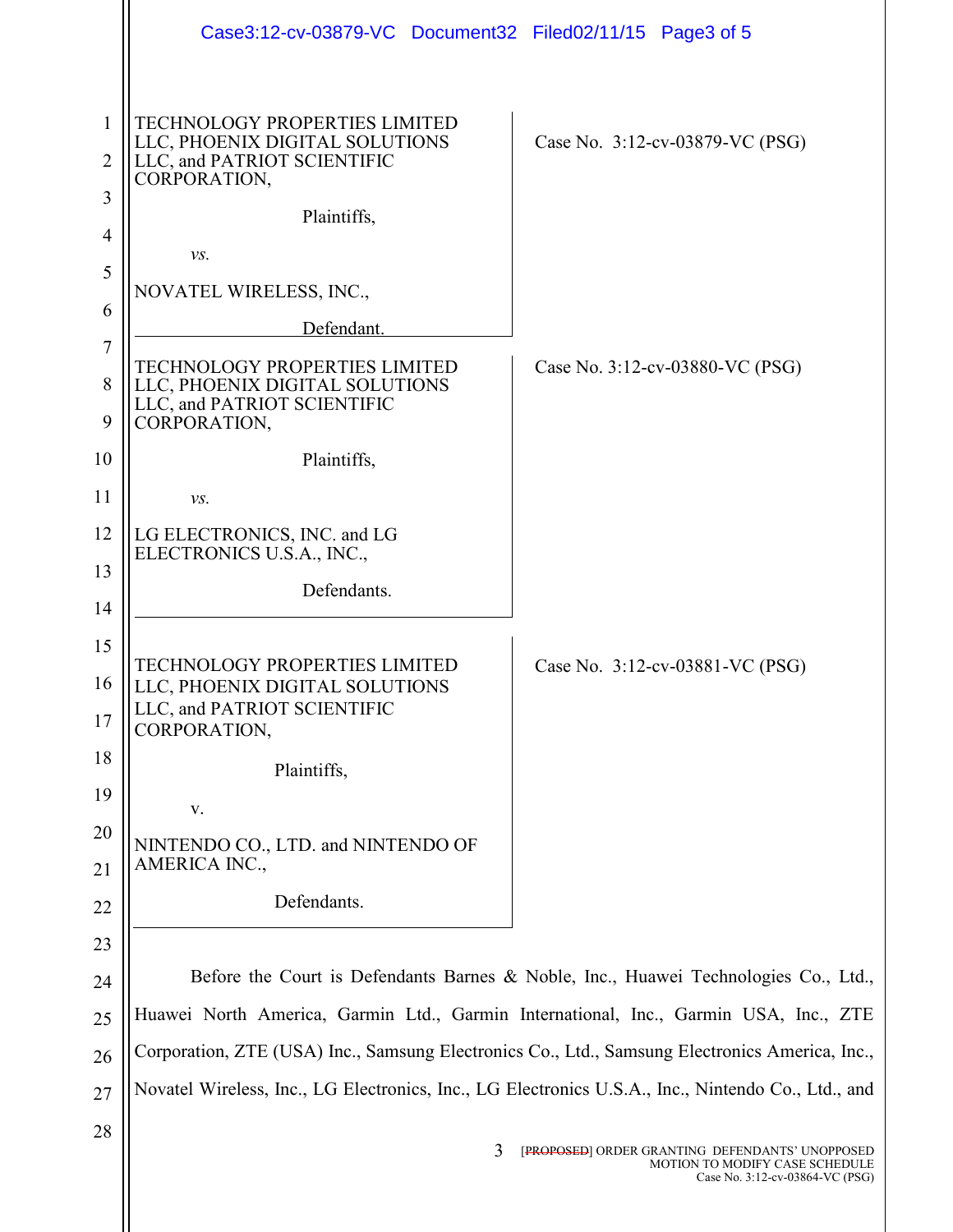|                          | Case3:12-cv-03879-VC Document32 Filed02/11/15 Page3 of 5                                                                             |                                                                                                                      |
|--------------------------|--------------------------------------------------------------------------------------------------------------------------------------|----------------------------------------------------------------------------------------------------------------------|
| 1<br>$\overline{2}$<br>3 | <b>TECHNOLOGY PROPERTIES LIMITED</b><br>LLC, PHOENIX DIGITAL SOLUTIONS<br>LLC, and PATRIOT SCIENTIFIC<br>CORPORATION,<br>Plaintiffs, | Case No. 3:12-cv-03879-VC (PSG)                                                                                      |
| $\overline{4}$<br>5      | VS.<br>NOVATEL WIRELESS, INC.,                                                                                                       |                                                                                                                      |
| 6<br>$\tau$              | Defendant.                                                                                                                           |                                                                                                                      |
| 8<br>9                   | <b>TECHNOLOGY PROPERTIES LIMITED</b><br>LLC, PHOENIX DIGITAL SOLUTIONS<br>LLC, and PATRIOT SCIENTIFIC<br>CORPORATION,                | Case No. 3:12-cv-03880-VC (PSG)                                                                                      |
| 10                       | Plaintiffs,                                                                                                                          |                                                                                                                      |
| 11                       | $\mathcal{V}\mathcal{S}.$                                                                                                            |                                                                                                                      |
| 12                       | LG ELECTRONICS, INC. and LG<br>ELECTRONICS U.S.A., INC.,                                                                             |                                                                                                                      |
| 13                       | Defendants.                                                                                                                          |                                                                                                                      |
| 14                       |                                                                                                                                      |                                                                                                                      |
| 15<br>16<br>17           | <b>TECHNOLOGY PROPERTIES LIMITED</b><br>LLC, PHOENIX DIGITAL SOLUTIONS<br>LLC, and PATRIOT SCIENTIFIC<br>CORPORATION,                | Case No. 3:12-cv-03881-VC (PSG)                                                                                      |
| 18                       | Plaintiffs,                                                                                                                          |                                                                                                                      |
| 19                       | ${\bf V}.$                                                                                                                           |                                                                                                                      |
| 20<br>21                 | NINTENDO CO., LTD. and NINTENDO OF<br>AMERICA INC.,                                                                                  |                                                                                                                      |
| 22                       | Defendants.                                                                                                                          |                                                                                                                      |
| 23                       |                                                                                                                                      |                                                                                                                      |
| 24                       |                                                                                                                                      | Before the Court is Defendants Barnes & Noble, Inc., Huawei Technologies Co., Ltd.,                                  |
| 25                       | Huawei North America, Garmin Ltd., Garmin International, Inc., Garmin USA, Inc., ZTE                                                 |                                                                                                                      |
| 26                       | Corporation, ZTE (USA) Inc., Samsung Electronics Co., Ltd., Samsung Electronics America, Inc.,                                       |                                                                                                                      |
| 27                       | Novatel Wireless, Inc., LG Electronics, Inc., LG Electronics U.S.A., Inc., Nintendo Co., Ltd., and                                   |                                                                                                                      |
| 28                       | 3                                                                                                                                    | [PROPOSED] ORDER GRANTING DEFENDANTS' UNOPPOSED<br>MOTION TO MODIFY CASE SCHEDULE<br>Case No. 3:12-cv-03864-VC (PSG) |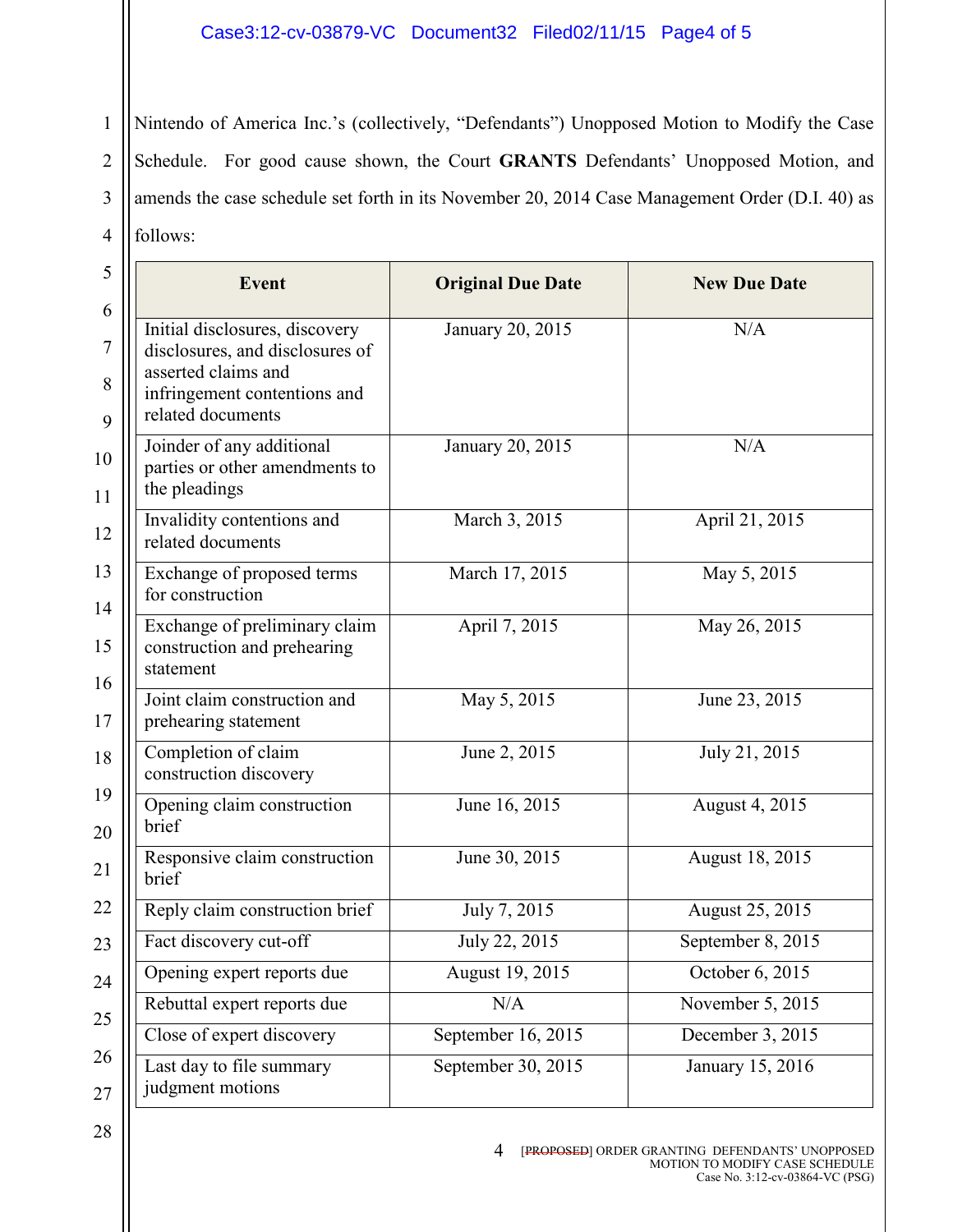## Case3:12-cv-03879-VC Document32 Filed02/11/15 Page4 of 5

1 2 3 4 Nintendo of America Inc.'s (collectively, "Defendants") Unopposed Motion to Modify the Case Schedule. For good cause shown, the Court GRANTS Defendants' Unopposed Motion, and amends the case schedule set forth in its November 20, 2014 Case Management Order (D.I. 40) as follows:

| <b>Event</b>                                                                                                                                  | <b>Original Due Date</b> | <b>New Due Date</b> |
|-----------------------------------------------------------------------------------------------------------------------------------------------|--------------------------|---------------------|
| Initial disclosures, discovery<br>disclosures, and disclosures of<br>asserted claims and<br>infringement contentions and<br>related documents | January 20, 2015         | N/A                 |
| Joinder of any additional<br>parties or other amendments to<br>the pleadings                                                                  | January 20, 2015         | N/A                 |
| Invalidity contentions and<br>related documents                                                                                               | March 3, 2015            | April 21, 2015      |
| Exchange of proposed terms<br>for construction                                                                                                | March 17, 2015           | May 5, 2015         |
| Exchange of preliminary claim<br>construction and prehearing<br>statement                                                                     | April 7, 2015            | May 26, 2015        |
| Joint claim construction and<br>prehearing statement                                                                                          | May 5, 2015              | June 23, 2015       |
| Completion of claim<br>construction discovery                                                                                                 | June 2, 2015             | July 21, 2015       |
| Opening claim construction<br>brief                                                                                                           | June 16, 2015            | August 4, 2015      |
| Responsive claim construction<br>brief                                                                                                        | June 30, 2015            | August 18, 2015     |
| Reply claim construction brief                                                                                                                | July 7, 2015             | August 25, 2015     |
| Fact discovery cut-off                                                                                                                        | July 22, 2015            | September 8, 2015   |
| Opening expert reports due                                                                                                                    | August 19, 2015          | October 6, 2015     |
| Rebuttal expert reports due                                                                                                                   | N/A                      | November 5, 2015    |
| Close of expert discovery                                                                                                                     | September 16, 2015       | December 3, 2015    |
| Last day to file summary<br>judgment motions                                                                                                  | September 30, 2015       | January 15, 2016    |

## 4 [PROPOSED] ORDER GRANTING DEFENDANTS' UNOPPOSED MOTION TO MODIFY CASE SCHEDULE Case No. 3:12-cv-03864-VC (PSG)

28